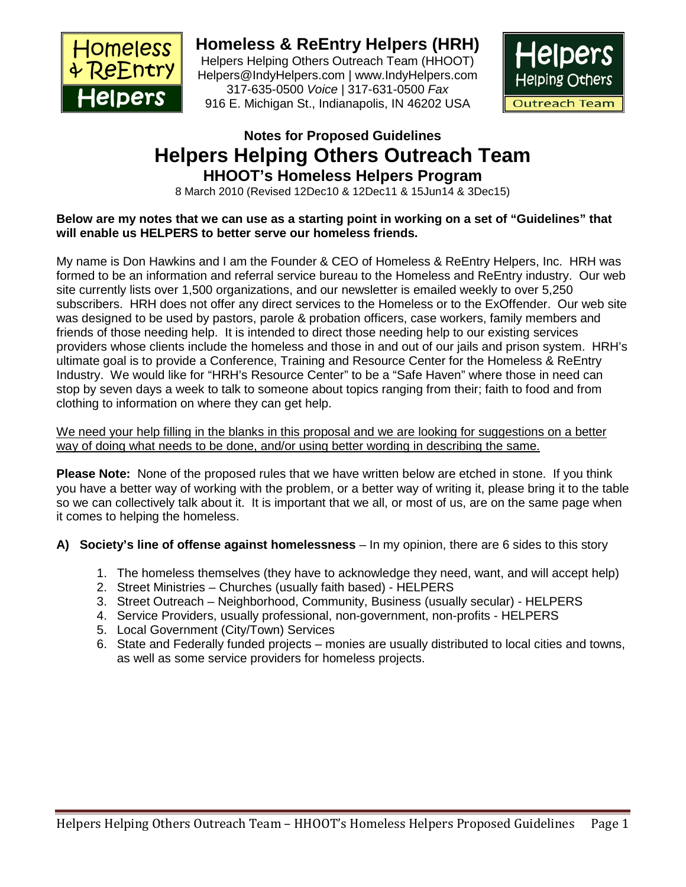

**Homeless & ReEntry Helpers (HRH)** Helpers Helping Others Outreach Team (HHOOT) Helpers@IndyHelpers.com | www.IndyHelpers.com 317-635-0500 *Voice* | 317-631-0500 *Fax*

916 E. Michigan St., Indianapolis, IN 46202 USA



# **Notes for Proposed Guidelines Helpers Helping Others Outreach Team HHOOT's Homeless Helpers Program**

8 March 2010 (Revised 12Dec10 & 12Dec11 & 15Jun14 & 3Dec15)

#### **Below are my notes that we can use as a starting point in working on a set of "Guidelines" that will enable us HELPERS to better serve our homeless friends.**

My name is Don Hawkins and I am the Founder & CEO of Homeless & ReEntry Helpers, Inc. HRH was formed to be an information and referral service bureau to the Homeless and ReEntry industry. Our web site currently lists over 1,500 organizations, and our newsletter is emailed weekly to over 5,250 subscribers. HRH does not offer any direct services to the Homeless or to the ExOffender. Our web site was designed to be used by pastors, parole & probation officers, case workers, family members and friends of those needing help. It is intended to direct those needing help to our existing services providers whose clients include the homeless and those in and out of our jails and prison system. HRH's ultimate goal is to provide a Conference, Training and Resource Center for the Homeless & ReEntry Industry. We would like for "HRH's Resource Center" to be a "Safe Haven" where those in need can stop by seven days a week to talk to someone about topics ranging from their; faith to food and from clothing to information on where they can get help.

We need your help filling in the blanks in this proposal and we are looking for suggestions on a better way of doing what needs to be done, and/or using better wording in describing the same.

**Please Note:** None of the proposed rules that we have written below are etched in stone. If you think you have a better way of working with the problem, or a better way of writing it, please bring it to the table so we can collectively talk about it. It is important that we all, or most of us, are on the same page when it comes to helping the homeless.

**A) Society's line of offense against homelessness** – In my opinion, there are 6 sides to this story

- 1. The homeless themselves (they have to acknowledge they need, want, and will accept help)
- 2. Street Ministries Churches (usually faith based) HELPERS
- 3. Street Outreach Neighborhood, Community, Business (usually secular) HELPERS
- 4. Service Providers, usually professional, non-government, non-profits HELPERS
- 5. Local Government (City/Town) Services
- 6. State and Federally funded projects monies are usually distributed to local cities and towns, as well as some service providers for homeless projects.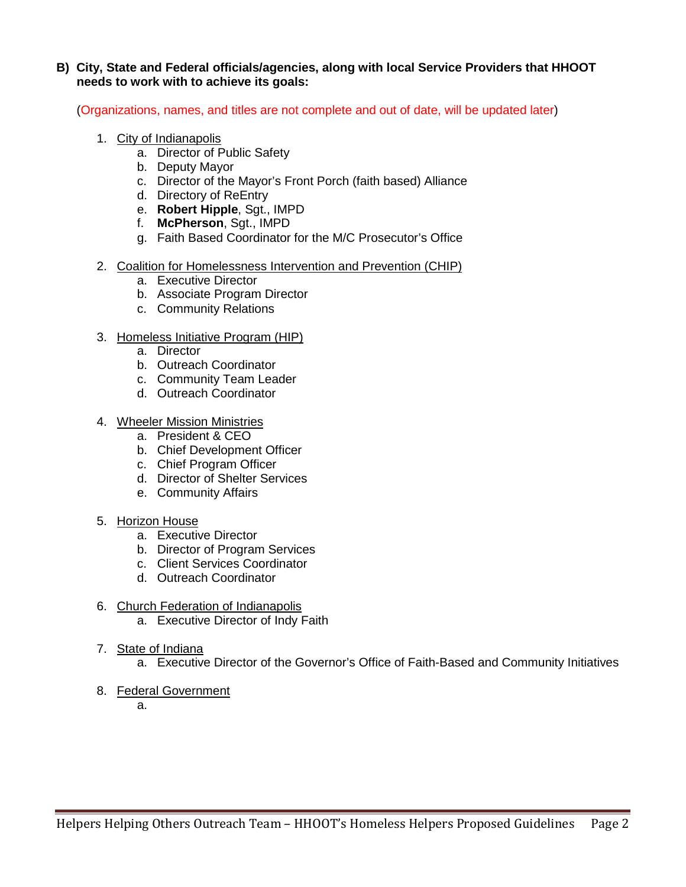#### **B) City, State and Federal officials/agencies, along with local Service Providers that HHOOT needs to work with to achieve its goals:**

(Organizations, names, and titles are not complete and out of date, will be updated later)

- 1. City of Indianapolis
	- a. Director of Public Safety
	- b. Deputy Mayor
	- c. Director of the Mayor's Front Porch (faith based) Alliance
	- d. Directory of ReEntry
	- e. **Robert Hipple**, Sgt., IMPD
	- f. **McPherson**, Sgt., IMPD
	- g. Faith Based Coordinator for the M/C Prosecutor's Office
- 2. Coalition for Homelessness Intervention and Prevention (CHIP)
	- a. Executive Director
	- b. Associate Program Director
	- c. Community Relations
- 3. Homeless Initiative Program (HIP)
	- a. Director
	- b. Outreach Coordinator
	- c. Community Team Leader
	- d. Outreach Coordinator
- 4. Wheeler Mission Ministries
	- a. President & CEO
	- b. Chief Development Officer
	- c. Chief Program Officer
	- d. Director of Shelter Services
	- e. Community Affairs
- 5. Horizon House
	- a. Executive Director
	- b. Director of Program Services
	- c. Client Services Coordinator
	- d. Outreach Coordinator
- 6. Church Federation of Indianapolis
	- a. Executive Director of Indy Faith
- 7. State of Indiana
	- a. Executive Director of the Governor's Office of Faith-Based and Community Initiatives
- 8. Federal Government

a.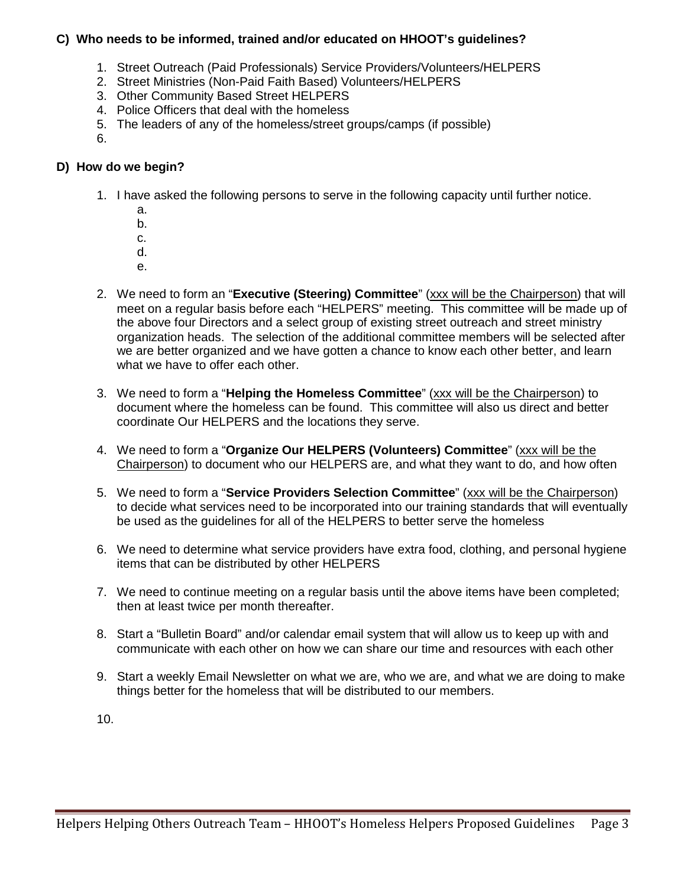#### **C) Who needs to be informed, trained and/or educated on HHOOT's guidelines?**

- 1. Street Outreach (Paid Professionals) Service Providers/Volunteers/HELPERS
- 2. Street Ministries (Non-Paid Faith Based) Volunteers/HELPERS
- 3. Other Community Based Street HELPERS
- 4. Police Officers that deal with the homeless
- 5. The leaders of any of the homeless/street groups/camps (if possible)

6.

#### **D) How do we begin?**

- 1. I have asked the following persons to serve in the following capacity until further notice.
	- a.
	- b.
	- c.
	- d.
	- e.
- 2. We need to form an "**Executive (Steering) Committee**" (xxx will be the Chairperson) that will meet on a regular basis before each "HELPERS" meeting. This committee will be made up of the above four Directors and a select group of existing street outreach and street ministry organization heads. The selection of the additional committee members will be selected after we are better organized and we have gotten a chance to know each other better, and learn what we have to offer each other.
- 3. We need to form a "**Helping the Homeless Committee**" (xxx will be the Chairperson) to document where the homeless can be found. This committee will also us direct and better coordinate Our HELPERS and the locations they serve.
- 4. We need to form a "**Organize Our HELPERS (Volunteers) Committee**" (xxx will be the Chairperson) to document who our HELPERS are, and what they want to do, and how often
- 5. We need to form a "**Service Providers Selection Committee**" (xxx will be the Chairperson) to decide what services need to be incorporated into our training standards that will eventually be used as the guidelines for all of the HELPERS to better serve the homeless
- 6. We need to determine what service providers have extra food, clothing, and personal hygiene items that can be distributed by other HELPERS
- 7. We need to continue meeting on a regular basis until the above items have been completed; then at least twice per month thereafter.
- 8. Start a "Bulletin Board" and/or calendar email system that will allow us to keep up with and communicate with each other on how we can share our time and resources with each other
- 9. Start a weekly Email Newsletter on what we are, who we are, and what we are doing to make things better for the homeless that will be distributed to our members.

10.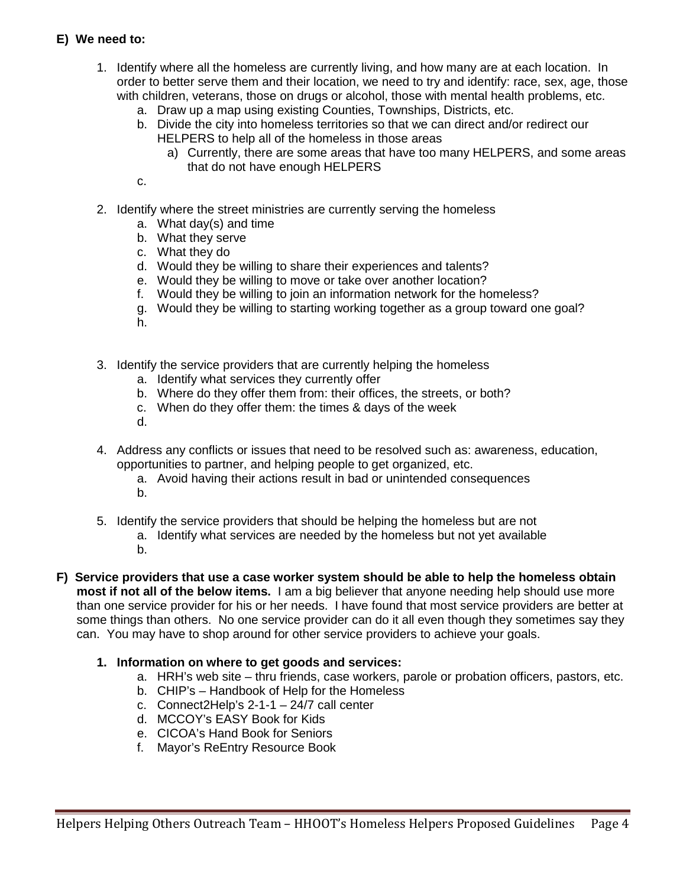# **E) We need to:**

- 1. Identify where all the homeless are currently living, and how many are at each location. In order to better serve them and their location, we need to try and identify: race, sex, age, those with children, veterans, those on drugs or alcohol, those with mental health problems, etc.
	- a. Draw up a map using existing Counties, Townships, Districts, etc.
	- b. Divide the city into homeless territories so that we can direct and/or redirect our HELPERS to help all of the homeless in those areas
		- a) Currently, there are some areas that have too many HELPERS, and some areas that do not have enough HELPERS
	- c.
- 2. Identify where the street ministries are currently serving the homeless
	- a. What day(s) and time
	- b. What they serve
	- c. What they do
	- d. Would they be willing to share their experiences and talents?
	- e. Would they be willing to move or take over another location?
	- f. Would they be willing to join an information network for the homeless?
	- g. Would they be willing to starting working together as a group toward one goal?
	- h.
- 3. Identify the service providers that are currently helping the homeless
	- a. Identify what services they currently offer
	- b. Where do they offer them from: their offices, the streets, or both?
	- c. When do they offer them: the times & days of the week
	- d.
- 4. Address any conflicts or issues that need to be resolved such as: awareness, education, opportunities to partner, and helping people to get organized, etc.
	- a. Avoid having their actions result in bad or unintended consequences
	- b.
- 5. Identify the service providers that should be helping the homeless but are not
	- a. Identify what services are needed by the homeless but not yet available
	- b.
- **F) Service providers that use a case worker system should be able to help the homeless obtain most if not all of the below items.** I am a big believer that anyone needing help should use more than one service provider for his or her needs. I have found that most service providers are better at some things than others. No one service provider can do it all even though they sometimes say they can. You may have to shop around for other service providers to achieve your goals.

#### **1. Information on where to get goods and services:**

- a. HRH's web site thru friends, case workers, parole or probation officers, pastors, etc.
- b. CHIP's Handbook of Help for the Homeless
- c. Connect2Help's 2-1-1 24/7 call center
- d. MCCOY's EASY Book for Kids
- e. CICOA's Hand Book for Seniors
- f. Mayor's ReEntry Resource Book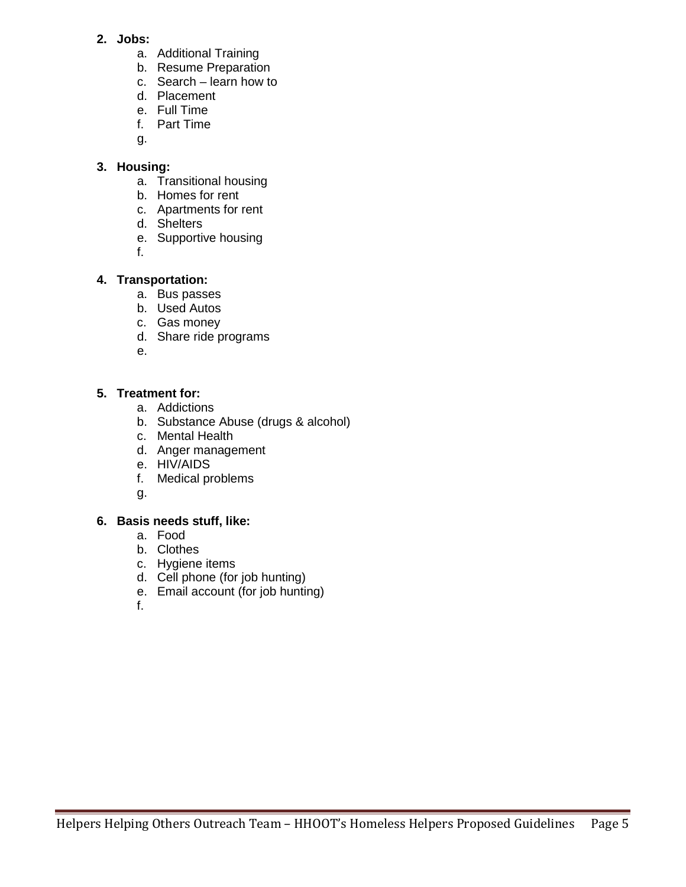- **2. Jobs:**
	- a. Additional Training
	- b. Resume Preparation
	- c. Search learn how to
	- d. Placement
	- e. Full Time
	- f. Part Time
	- g.

# **3. Housing:**

- a. Transitional housing
- b. Homes for rent
- c. Apartments for rent
- d. Shelters
- e. Supportive housing

f.

# **4. Transportation:**

- a. Bus passes
- b. Used Autos
- c. Gas money
- d. Share ride programs

e.

#### **5. Treatment for:**

- a. Addictions
- b. Substance Abuse (drugs & alcohol)
- c. Mental Health
- d. Anger management
- e. HIV/AIDS
- f. Medical problems
- g.

# **6. Basis needs stuff, like:**

- a. Food
- b. Clothes
- c. Hygiene items
- d. Cell phone (for job hunting)
- e. Email account (for job hunting)
- f.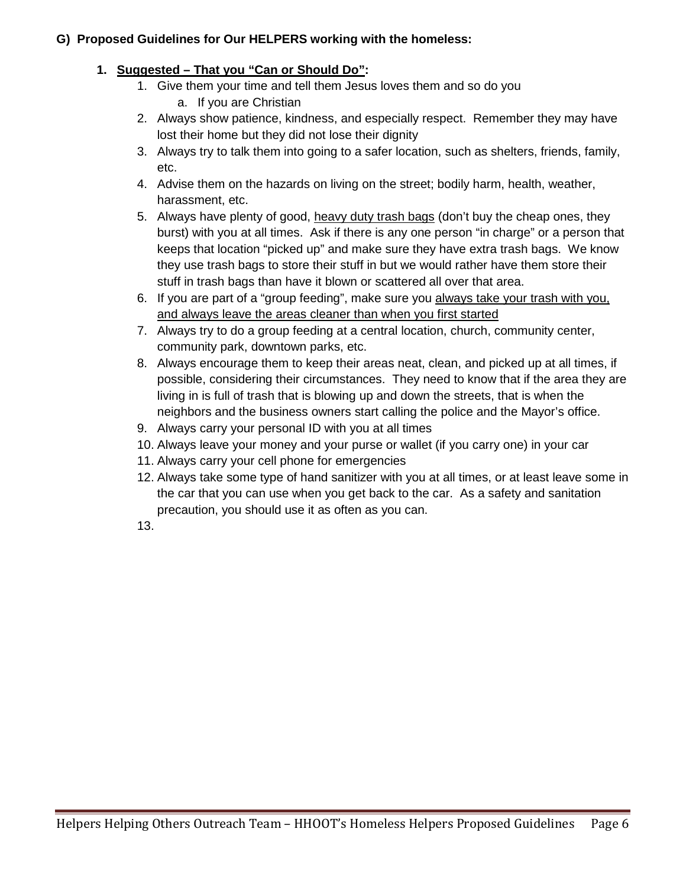# **G) Proposed Guidelines for Our HELPERS working with the homeless:**

# **1. Suggested – That you "Can or Should Do":**

- 1. Give them your time and tell them Jesus loves them and so do you a. If you are Christian
- 2. Always show patience, kindness, and especially respect. Remember they may have lost their home but they did not lose their dignity
- 3. Always try to talk them into going to a safer location, such as shelters, friends, family, etc.
- 4. Advise them on the hazards on living on the street; bodily harm, health, weather, harassment, etc.
- 5. Always have plenty of good, heavy duty trash bags (don't buy the cheap ones, they burst) with you at all times. Ask if there is any one person "in charge" or a person that keeps that location "picked up" and make sure they have extra trash bags. We know they use trash bags to store their stuff in but we would rather have them store their stuff in trash bags than have it blown or scattered all over that area.
- 6. If you are part of a "group feeding", make sure you always take your trash with you, and always leave the areas cleaner than when you first started
- 7. Always try to do a group feeding at a central location, church, community center, community park, downtown parks, etc.
- 8. Always encourage them to keep their areas neat, clean, and picked up at all times, if possible, considering their circumstances. They need to know that if the area they are living in is full of trash that is blowing up and down the streets, that is when the neighbors and the business owners start calling the police and the Mayor's office.
- 9. Always carry your personal ID with you at all times
- 10. Always leave your money and your purse or wallet (if you carry one) in your car
- 11. Always carry your cell phone for emergencies
- 12. Always take some type of hand sanitizer with you at all times, or at least leave some in the car that you can use when you get back to the car. As a safety and sanitation precaution, you should use it as often as you can.
- 13.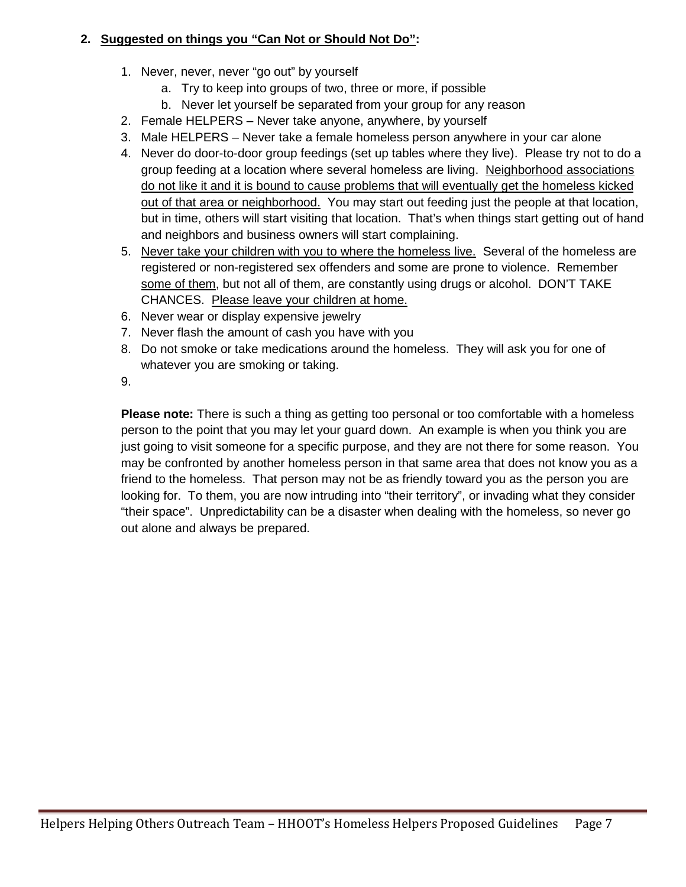# **2. Suggested on things you "Can Not or Should Not Do":**

- 1. Never, never, never "go out" by yourself
	- a. Try to keep into groups of two, three or more, if possible
	- b. Never let yourself be separated from your group for any reason
- 2. Female HELPERS Never take anyone, anywhere, by yourself
- 3. Male HELPERS Never take a female homeless person anywhere in your car alone
- 4. Never do door-to-door group feedings (set up tables where they live). Please try not to do a group feeding at a location where several homeless are living. Neighborhood associations do not like it and it is bound to cause problems that will eventually get the homeless kicked out of that area or neighborhood. You may start out feeding just the people at that location, but in time, others will start visiting that location. That's when things start getting out of hand and neighbors and business owners will start complaining.
- 5. Never take your children with you to where the homeless live. Several of the homeless are registered or non-registered sex offenders and some are prone to violence. Remember some of them, but not all of them, are constantly using drugs or alcohol. DON'T TAKE CHANCES. Please leave your children at home.
- 6. Never wear or display expensive jewelry
- 7. Never flash the amount of cash you have with you
- 8. Do not smoke or take medications around the homeless. They will ask you for one of whatever you are smoking or taking.
- 9.

**Please note:** There is such a thing as getting too personal or too comfortable with a homeless person to the point that you may let your guard down. An example is when you think you are just going to visit someone for a specific purpose, and they are not there for some reason. You may be confronted by another homeless person in that same area that does not know you as a friend to the homeless. That person may not be as friendly toward you as the person you are looking for. To them, you are now intruding into "their territory", or invading what they consider "their space". Unpredictability can be a disaster when dealing with the homeless, so never go out alone and always be prepared.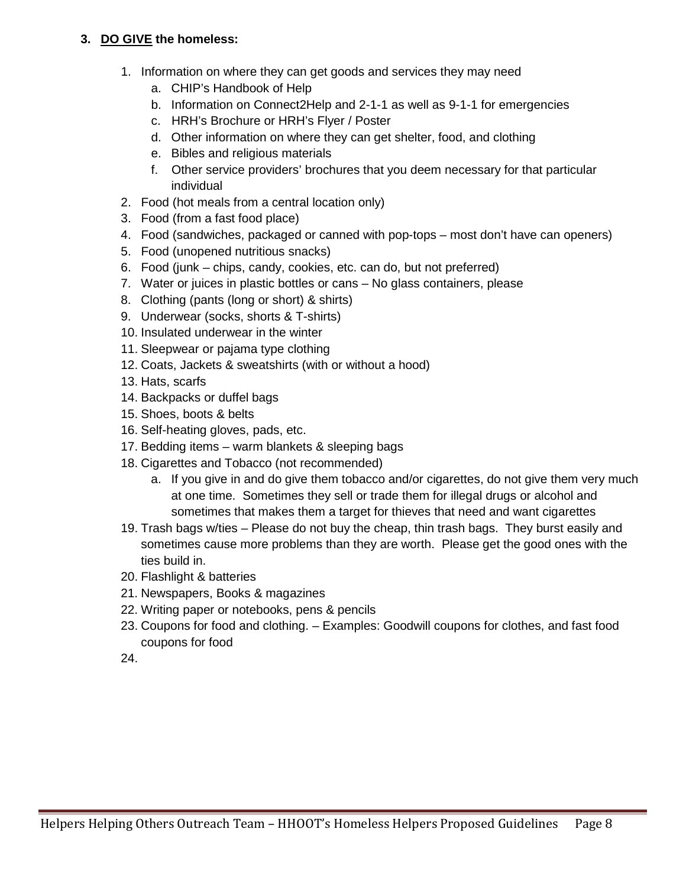### **3. DO GIVE the homeless:**

- 1. Information on where they can get goods and services they may need
	- a. CHIP's Handbook of Help
	- b. Information on Connect2Help and 2-1-1 as well as 9-1-1 for emergencies
	- c. HRH's Brochure or HRH's Flyer / Poster
	- d. Other information on where they can get shelter, food, and clothing
	- e. Bibles and religious materials
	- f. Other service providers' brochures that you deem necessary for that particular individual
- 2. Food (hot meals from a central location only)
- 3. Food (from a fast food place)
- 4. Food (sandwiches, packaged or canned with pop-tops most don't have can openers)
- 5. Food (unopened nutritious snacks)
- 6. Food (junk chips, candy, cookies, etc. can do, but not preferred)
- 7. Water or juices in plastic bottles or cans No glass containers, please
- 8. Clothing (pants (long or short) & shirts)
- 9. Underwear (socks, shorts & T-shirts)
- 10. Insulated underwear in the winter
- 11. Sleepwear or pajama type clothing
- 12. Coats, Jackets & sweatshirts (with or without a hood)
- 13. Hats, scarfs
- 14. Backpacks or duffel bags
- 15. Shoes, boots & belts
- 16. Self-heating gloves, pads, etc.
- 17. Bedding items warm blankets & sleeping bags
- 18. Cigarettes and Tobacco (not recommended)
	- a. If you give in and do give them tobacco and/or cigarettes, do not give them very much at one time. Sometimes they sell or trade them for illegal drugs or alcohol and sometimes that makes them a target for thieves that need and want cigarettes
- 19. Trash bags w/ties Please do not buy the cheap, thin trash bags. They burst easily and sometimes cause more problems than they are worth. Please get the good ones with the ties build in.
- 20. Flashlight & batteries
- 21. Newspapers, Books & magazines
- 22. Writing paper or notebooks, pens & pencils
- 23. Coupons for food and clothing. Examples: Goodwill coupons for clothes, and fast food coupons for food
- 24.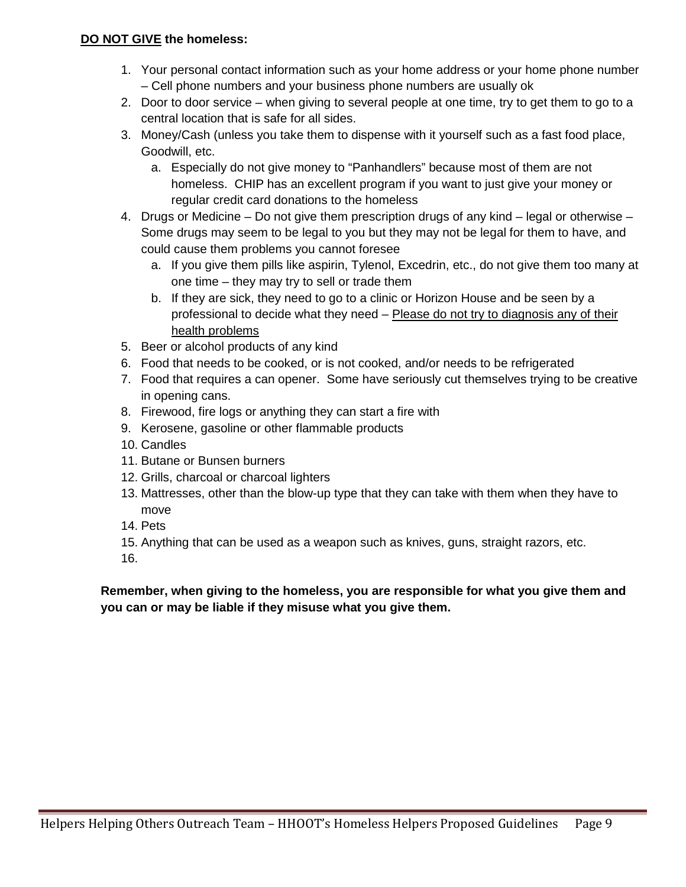#### **DO NOT GIVE the homeless:**

- 1. Your personal contact information such as your home address or your home phone number – Cell phone numbers and your business phone numbers are usually ok
- 2. Door to door service when giving to several people at one time, try to get them to go to a central location that is safe for all sides.
- 3. Money/Cash (unless you take them to dispense with it yourself such as a fast food place, Goodwill, etc.
	- a. Especially do not give money to "Panhandlers" because most of them are not homeless. CHIP has an excellent program if you want to just give your money or regular credit card donations to the homeless
- 4. Drugs or Medicine Do not give them prescription drugs of any kind legal or otherwise Some drugs may seem to be legal to you but they may not be legal for them to have, and could cause them problems you cannot foresee
	- a. If you give them pills like aspirin, Tylenol, Excedrin, etc., do not give them too many at one time – they may try to sell or trade them
	- b. If they are sick, they need to go to a clinic or Horizon House and be seen by a professional to decide what they need - Please do not try to diagnosis any of their health problems
- 5. Beer or alcohol products of any kind
- 6. Food that needs to be cooked, or is not cooked, and/or needs to be refrigerated
- 7. Food that requires a can opener. Some have seriously cut themselves trying to be creative in opening cans.
- 8. Firewood, fire logs or anything they can start a fire with
- 9. Kerosene, gasoline or other flammable products
- 10. Candles
- 11. Butane or Bunsen burners
- 12. Grills, charcoal or charcoal lighters
- 13. Mattresses, other than the blow-up type that they can take with them when they have to move
- 14. Pets
- 15. Anything that can be used as a weapon such as knives, guns, straight razors, etc.
- 16.

**Remember, when giving to the homeless, you are responsible for what you give them and you can or may be liable if they misuse what you give them.**